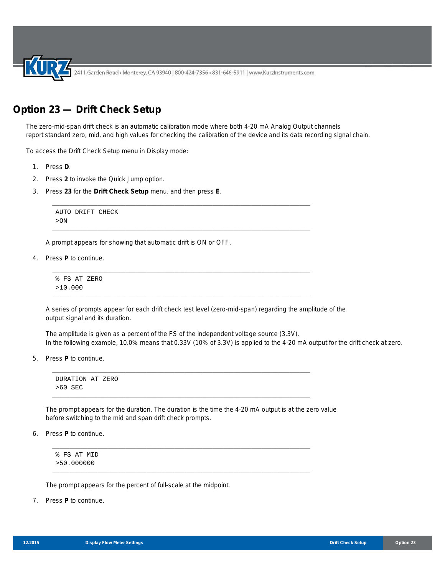2411 Garden Road • Monterey, CA 93940 | 800-424-7356 • 831-646-5911 | www.KurzInstruments.com

## **Option 23 — Drift Check Setup**

The zero-mid-span drift check is an automatic calibration mode where both 4-20 mA Analog Output channels report standard zero, mid, and high values for checking the calibration of the device and its data recording signal chain.

\_\_\_\_\_\_\_\_\_\_\_\_\_\_\_\_\_\_\_\_\_\_\_\_\_\_\_\_\_\_\_\_\_\_\_\_\_\_\_\_\_\_\_\_\_\_\_\_\_\_\_\_\_\_\_\_\_\_\_\_\_\_\_\_\_\_\_\_\_\_\_\_\_\_

\_\_\_\_\_\_\_\_\_\_\_\_\_\_\_\_\_\_\_\_\_\_\_\_\_\_\_\_\_\_\_\_\_\_\_\_\_\_\_\_\_\_\_\_\_\_\_\_\_\_\_\_\_\_\_\_\_\_\_\_\_\_\_\_\_\_\_\_\_\_\_\_\_\_

\_\_\_\_\_\_\_\_\_\_\_\_\_\_\_\_\_\_\_\_\_\_\_\_\_\_\_\_\_\_\_\_\_\_\_\_\_\_\_\_\_\_\_\_\_\_\_\_\_\_\_\_\_\_\_\_\_\_\_\_\_\_\_\_\_\_\_\_\_\_\_\_\_\_

\_\_\_\_\_\_\_\_\_\_\_\_\_\_\_\_\_\_\_\_\_\_\_\_\_\_\_\_\_\_\_\_\_\_\_\_\_\_\_\_\_\_\_\_\_\_\_\_\_\_\_\_\_\_\_\_\_\_\_\_\_\_\_\_\_\_\_\_\_\_\_\_\_\_

\_\_\_\_\_\_\_\_\_\_\_\_\_\_\_\_\_\_\_\_\_\_\_\_\_\_\_\_\_\_\_\_\_\_\_\_\_\_\_\_\_\_\_\_\_\_\_\_\_\_\_\_\_\_\_\_\_\_\_\_\_\_\_\_\_\_\_\_\_\_\_\_\_\_

\_\_\_\_\_\_\_\_\_\_\_\_\_\_\_\_\_\_\_\_\_\_\_\_\_\_\_\_\_\_\_\_\_\_\_\_\_\_\_\_\_\_\_\_\_\_\_\_\_\_\_\_\_\_\_\_\_\_\_\_\_\_\_\_\_\_\_\_\_\_\_\_\_\_

\_\_\_\_\_\_\_\_\_\_\_\_\_\_\_\_\_\_\_\_\_\_\_\_\_\_\_\_\_\_\_\_\_\_\_\_\_\_\_\_\_\_\_\_\_\_\_\_\_\_\_\_\_\_\_\_\_\_\_\_\_\_\_\_\_\_\_\_\_\_\_\_\_\_

\_\_\_\_\_\_\_\_\_\_\_\_\_\_\_\_\_\_\_\_\_\_\_\_\_\_\_\_\_\_\_\_\_\_\_\_\_\_\_\_\_\_\_\_\_\_\_\_\_\_\_\_\_\_\_\_\_\_\_\_\_\_\_\_\_\_\_\_\_\_\_\_\_\_

To access the Drift Check Setup menu in Display mode:

- 1. Press **D**.
- 2. Press **2** to invoke the Quick Jump option.
- 3. Press **23** for the **Drift Check Setup** menu, and then press **E**.

```
AUTO DRIFT CHECK
>ON
```
A prompt appears for showing that automatic drift is ON or OFF.

4. Press **P** to continue.

% FS AT ZERO >10.000

A series of prompts appear for each drift check test level (zero-mid-span) regarding the amplitude of the output signal and its duration.

The amplitude is given as a percent of the FS of the independent voltage source (3.3V). In the following example, 10.0% means that 0.33V (10% of 3.3V) is applied to the 4-20 mA output for the drift check at zero.

5. Press **P** to continue.

```
DURATION AT ZERO 
>60 SEC
```
The prompt appears for the duration. The duration is the time the 4-20 mA output is at the zero value before switching to the mid and span drift check prompts.

6. Press **P** to continue.

% FS AT MID >50.000000

The prompt appears for the percent of full-scale at the midpoint.

7. Press **P** to continue.